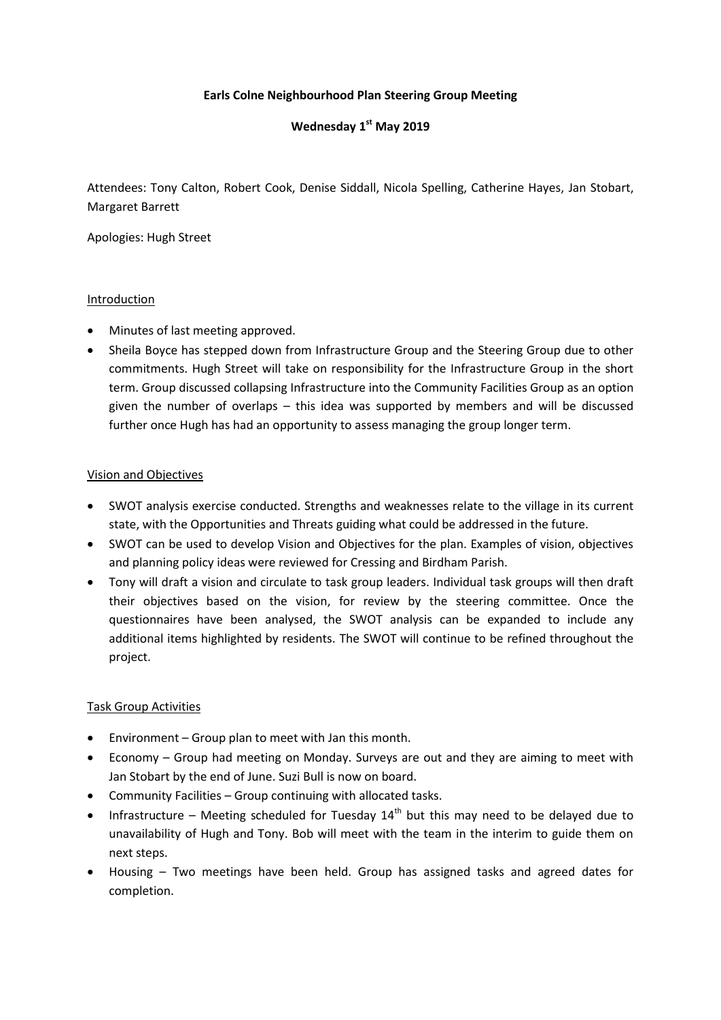### **Earls Colne Neighbourhood Plan Steering Group Meeting**

# **Wednesday 1st May 2019**

Attendees: Tony Calton, Robert Cook, Denise Siddall, Nicola Spelling, Catherine Hayes, Jan Stobart, Margaret Barrett

Apologies: Hugh Street

#### Introduction

- Minutes of last meeting approved.
- Sheila Boyce has stepped down from Infrastructure Group and the Steering Group due to other commitments. Hugh Street will take on responsibility for the Infrastructure Group in the short term. Group discussed collapsing Infrastructure into the Community Facilities Group as an option given the number of overlaps – this idea was supported by members and will be discussed further once Hugh has had an opportunity to assess managing the group longer term.

### Vision and Objectives

- SWOT analysis exercise conducted. Strengths and weaknesses relate to the village in its current state, with the Opportunities and Threats guiding what could be addressed in the future.
- SWOT can be used to develop Vision and Objectives for the plan. Examples of vision, objectives and planning policy ideas were reviewed for Cressing and Birdham Parish.
- Tony will draft a vision and circulate to task group leaders. Individual task groups will then draft their objectives based on the vision, for review by the steering committee. Once the questionnaires have been analysed, the SWOT analysis can be expanded to include any additional items highlighted by residents. The SWOT will continue to be refined throughout the project.

#### Task Group Activities

- Environment Group plan to meet with Jan this month.
- Economy Group had meeting on Monday. Surveys are out and they are aiming to meet with Jan Stobart by the end of June. Suzi Bull is now on board.
- Community Facilities Group continuing with allocated tasks.
- Infrastructure Meeting scheduled for Tuesday  $14<sup>th</sup>$  but this may need to be delayed due to unavailability of Hugh and Tony. Bob will meet with the team in the interim to guide them on next steps.
- Housing Two meetings have been held. Group has assigned tasks and agreed dates for completion.